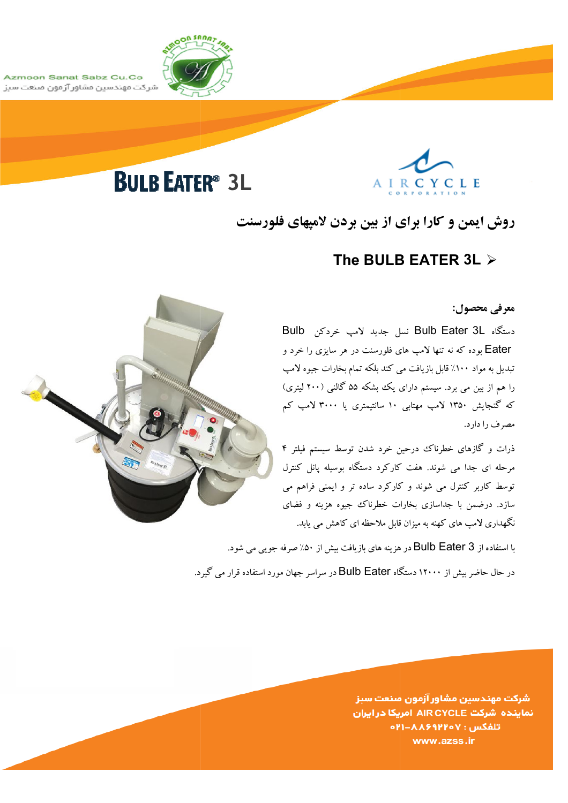

Azmoon Sanat Sabz Cu.Co شركت مهندسين مشاور آزمون مىنعت سبز

# **BULB EATER<sup>®</sup> 3L**



# روش ایمن و کارا برای از بین بردن لامیهای فلورسنت

# The BULB EATER 3L  $\triangleright$

معرفي محصول:

دستگاه Bulb Eater 3L نسل جدید لامب خردکن Bulb Eater بوده که نه تنها لامب های فلورسنت در هر سایزی را خرد و تبدیل به مواد ۱۰۰٪ قابل بازیافت می کند بلکه تمام بخارات جیوه لامپ را هم از بین می برد. سیستم دارای یک بشکه ۵۵ گالنبی (۲۰۰ لیتری) که گنجایش ۱۳۵۰ لامپ مهتابی ۱۰ سانتیمتری یا ۳۰۰۰ لامپ کم مصرف را دارد.

ذرات و گازهای خطرناک درحین خرد شدن توسط سیستم فیلتر ۴ مرحله ای جدا می شوند. هفت کارکرد دستگاه بوسیله یانل کنترل توسط کاربر کنترل می شوند و کارکرد ساده تر و ایمنی فراهم می سازد. درضمن با جداسازی بخارات خطرناک جیوه هزینه و فضای نگهداری لامپ های کهنه به میزان قابل ملاحظه ای کاهش می پابد.

با استفاده از Bulb Eater 3 در هزینه های بازیافت بیش از ۵۰٪ صرفه جویبی می شود.

در حال حاضر بیش از ۱۲۰۰۰ دستگاه Bulb Eater در سراسر جهان مورد استفاده قرار می گیرد.

شركت مهندسين مشاور آزمون صنعت سبز نماینده شرکت AIR CYCLE امریکا در ایران **CHI-AASSPYOV:** www.azss.ir

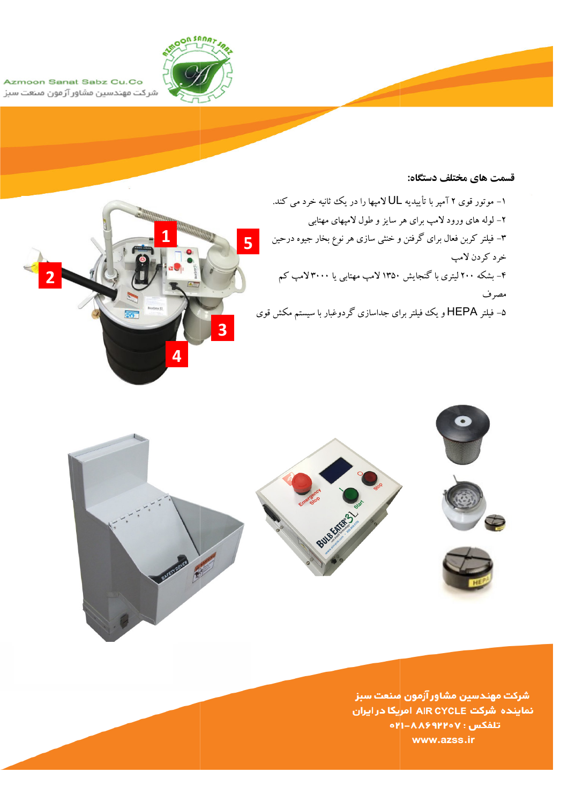

Azmoon Sanat Sabz Cu.Co شرکت مهندسین مشاور آزمون منعت سبز

#### قسمت های مختلف دستگاه:



۱- موتور قوی ۲ آمپر با تأییدیه UL لامپها را در یک ثانیه خرد می کند. ۲– لوله های ورود لامپ برای هر سایز و طول لامپهای مهتابی ۳– فیلتر کربن فعال برای گرفتن و خنثی سازی هر نوع بخار جیوه درحین خرد کړدن لامپ ۴- بشکه ۲۰۰ لیتری با گنجایش ۱۳۵۰ لامپ مهتابی یا ۳۰۰۰لامپ کم مصرف ۵− فیلتر HEPA و یک فیلتر برای جداسازی گردوغبار با سیستم مکش قوی



شركت مهندسين مشاور آزمون مىنعت سبز نماینده شرکت AIR CYCLE امریکا در ایران **GPI-AA99PPoV:** تلفكس www.azss.ir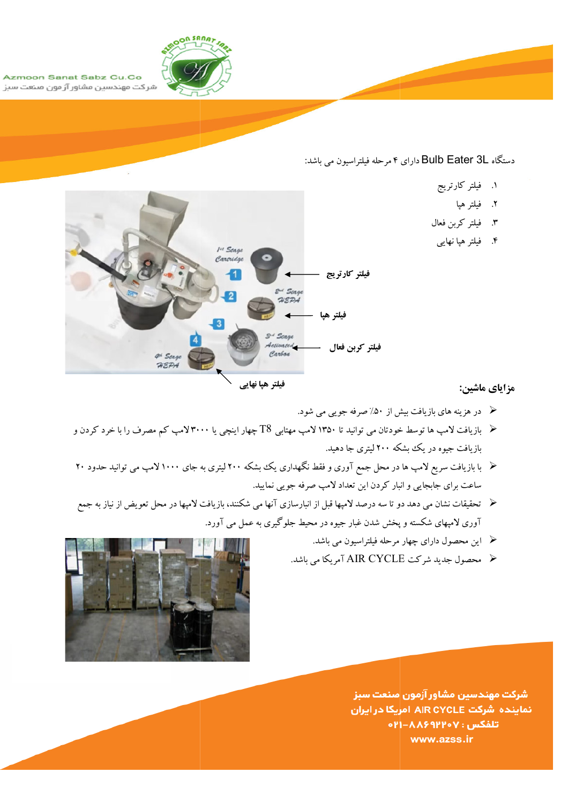

Azmoon Sanat Sabz Cu.Co شرکت مهندسین مشاور آزمون منعت سبز

دستگاه Bulb Eater 3L دارای ۴ مرحله فیلتراسیون می باشد:

- ١. فيلتر كارتريج
	- ٢. فيلتر هيا
- ٣. فيلتر كربن فعال
- ۴. فیلتر هیا نهایبی



### مزاياي ماشين:

- ه در هزینه های بازیافت بیش از ۵۰٪ صرفه جویبی می شود.
- ﴿ بازیافت لامپ ها توسط خودتان می توانید تا ۱۳۵۰ لامپ مهتابی ∆T چهار اینچی یا ۳۰۰۰لامپ کم مصرف را با خرد کردن و بازیافت جیوه در یک بشکه ۲۰۰ لیتری جا دهید.
- ﴿ با بازیافت سریع لامپ ها در محل جمع آوری و فقط نگهداری یک بشکه ۲۰۰ لیتری به جای ۱۰۰۰ لامپ می توانید حدود ۲۰ ساعت برای جابجایی و انبار کردن این تعداد لامپ صرفه جویی نمایید.
- ≺ تحقیقات نشان می دهد دو تا سه درصد لامپها قبل از انبارسازی آنها می شکنند، بازیافت لامپها در محل تعویض از نیاز به جمع .<br>آوری لامپهای شکسته و پخش شدن غبار جیوه در محیط جلوگیری به عمل می آورد.
	- ه این محصول دارای چهار مرحله فیلتراسیون می باشد.
	- ﴿ مَحْصُولُ جِدْيِدِ شَرِكَتْ AIR CYCLE آمْرِيكَا مِي بِاشْدٍ.



شركت مهندسين مشاور آزمون صنعت سبز نماینده شرکت AIR CYCLE امریکا در ایران تلفكس : ٨٨۶٩٢٢٥٧-٢١٥ www.azss.ir